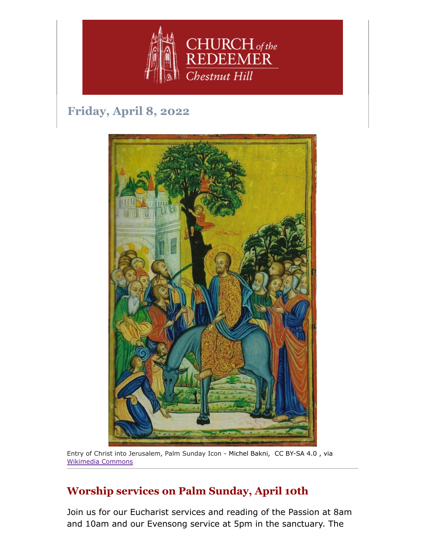

# **Friday, April 8, 2022**



Entry of Christ into Jerusalem, Palm Sunday Icon - Michel Bakni, CC BY-SA 4.0 , via [Wikimedia Commons](https://commons.wikimedia.org/wiki/File:Palm_Sunday_icon_(Lebanon).jpg)

## **Worship services on Palm Sunday, April 10th**

Join us for our Eucharist services and reading of the Passion at 8am and 10am and our Evensong service at 5pm in the sanctuary. The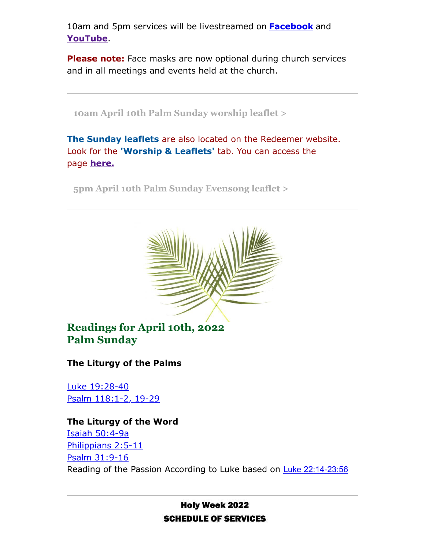10am and 5pm services will be livestreamed on **[Facebook](https://www.facebook.com/redeemerchestnuthill)** and **[YouTube](https://www.youtube.com/channel/UCuF2ATr93WfFYaj4XlyKKDw)**.

**Please note:** Face masks are now optional during church services and in all meetings and events held at the church.

**[10am April 10th Palm Sunday worship leaflet >](https://drive.google.com/file/d/1e9irwgSNDBnPfTpbuHihRSs_5kX7R7Gt/view?usp=sharing)**

**The Sunday leaflets** are also located on the Redeemer website. Look for the **'Worship & Leaflets'** tab. You can access the page **[here.](https://www.redeemerchestnuthill.org/worship-services)**

**[5pm April 10th Palm Sunday Evensong leaflet >](https://drive.google.com/file/d/1dw0ISlS0oB1a1m4jYb0y0MAMheLod1Gu/view?usp=sharing)**



**Readings for April 10th, 2022 Palm Sunday**

**The Liturgy of the Palms**

[Luke 19:28-40](https://lectionarypage.net/YearC_RCL/HolyDays/CPalmSun_RCL.html#gsp1) [Psalm 118:1-2, 19-29](https://lectionarypage.net/YearC_RCL/HolyDays/CPalmSun_RCL.html#ps1)

### **The Liturgy of the Word** [Isaiah 50:4-9a](https://lectionarypage.net/YearC_RCL/HolyDays/CPalmSun_RCL.html#ot2) [Philippians 2:5-11](https://lectionarypage.net/YearC_RCL/HolyDays/CPalmSun_RCL.html#nt2) [Psalm 31:9-16](https://lectionarypage.net/YearC_RCL/HolyDays/CPalmSun_RCL.html#ps2) Reading of the Passion According to Luke based on [Luke 22:14-23:56](https://lectionarypage.net/YearC_RCL/HolyDays/CPalmSun_RCL.html#gsp2)

### **Holy Week 2022 SCHEDULE OF SERVICES**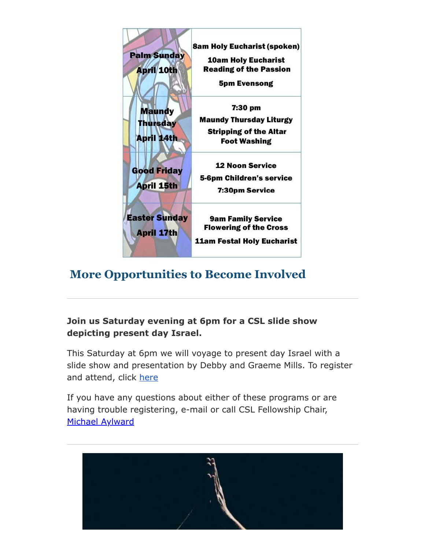

## **More Opportunities to Become Involved**

### **Join us Saturday evening at 6pm for a CSL slide show depicting present day Israel.**

This Saturday at 6pm we will voyage to present day Israel with a slide show and presentation by Debby and Graeme Mills. To register and attend, click [here](https://us06web.zoom.us/j/83936221752?pwd=RUhLRmsrcWNCYk5ObC8zT2RiRVNjdz09)

If you have any questions about either of these programs or are having trouble registering, e-mail or call CSL Fellowship Chair, [Michael Aylward](mailto:MAylward@morrisonmahoney.com)

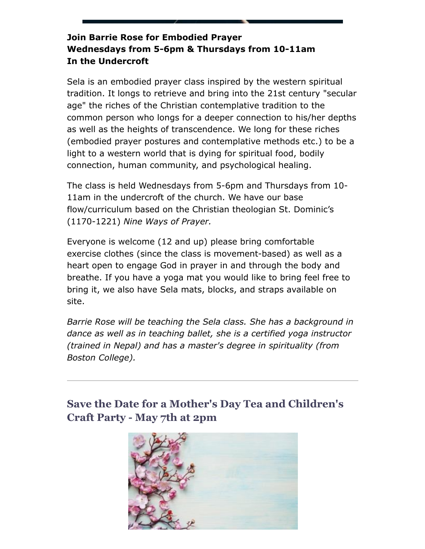### **Join Barrie Rose for Embodied Prayer Wednesdays from 5-6pm & Thursdays from 10-11am In the Undercroft**

Sela is an embodied prayer class inspired by the western spiritual tradition. It longs to retrieve and bring into the 21st century "secular age" the riches of the Christian contemplative tradition to the common person who longs for a deeper connection to his/her depths as well as the heights of transcendence. We long for these riches (embodied prayer postures and contemplative methods etc.) to be a light to a western world that is dying for spiritual food, bodily connection, human community, and psychological healing.

The class is held Wednesdays from 5-6pm and Thursdays from 10- 11am in the undercroft of the church. We have our base flow/curriculum based on the Christian theologian St. Dominic's (1170-1221) *Nine Ways of Prayer.*

Everyone is welcome (12 and up) please bring comfortable exercise clothes (since the class is movement-based) as well as a heart open to engage God in prayer in and through the body and breathe. If you have a yoga mat you would like to bring feel free to bring it, we also have Sela mats, blocks, and straps available on site.

*Barrie Rose will be teaching the Sela class. She has a background in dance as well as in teaching ballet, she is a certified yoga instructor (trained in Nepal) and has a master's degree in spirituality (from Boston College).*

## **Save the Date for a Mother's Day Tea and Children's Craft Party - May 7th at 2pm**

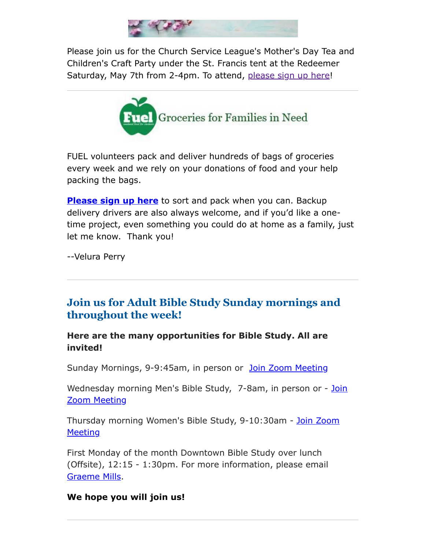

Please join us for the Church Service League's Mother's Day Tea and Children's Craft Party under the St. Francis tent at the Redeemer Saturday, May 7th from 2-4pm. To attend, [please sign up here](https://www.signupgenius.com/go/4090C4FACAA23A4FD0-church)!



FUEL volunteers pack and deliver hundreds of bags of groceries every week and we rely on your donations of food and your help packing the bags.

**[Please sign up here](https://signup.com/go/FNGHQhR)** to sort and pack when you can. Backup delivery drivers are also always welcome, and if you'd like a onetime project, even something you could do at home as a family, just let me know. Thank you!

--Velura Perry

## **Join us for Adult Bible Study Sunday mornings and throughout the week!**

**Here are the many opportunities for Bible Study. All are invited!**

Sunday Mornings, 9-9:45am, in person or [Join Zoom Meeting](https://us02web.zoom.us/j/86566228912?pwd=aGxWTU1PU3Y3TDZsVTdmbXg2UnNvZz09)

[Wednesday morning Men's Bible Study, 7-8am,](https://us02web.zoom.us/j/89392200698?pwd=czIzYmlKT1JCRmkrdlBFM2lJaGdkZz09) in person or - Join Zoom Meeting

[Thursday morning Women's Bible Study, 9-10:30am - Join Zoom](https://us02web.zoom.us/j/82431832126?pwd=ZXBLQUFnL2haSEZyWll3b0R0MEpmUT09#success#success) **Meeting** 

First Monday of the month Downtown Bible Study over lunch (Offsite), 12:15 - 1:30pm. For more information, please email [Graeme Mills](mailto:gmills@cambridgeassociates.com).

#### **We hope you will join us!**